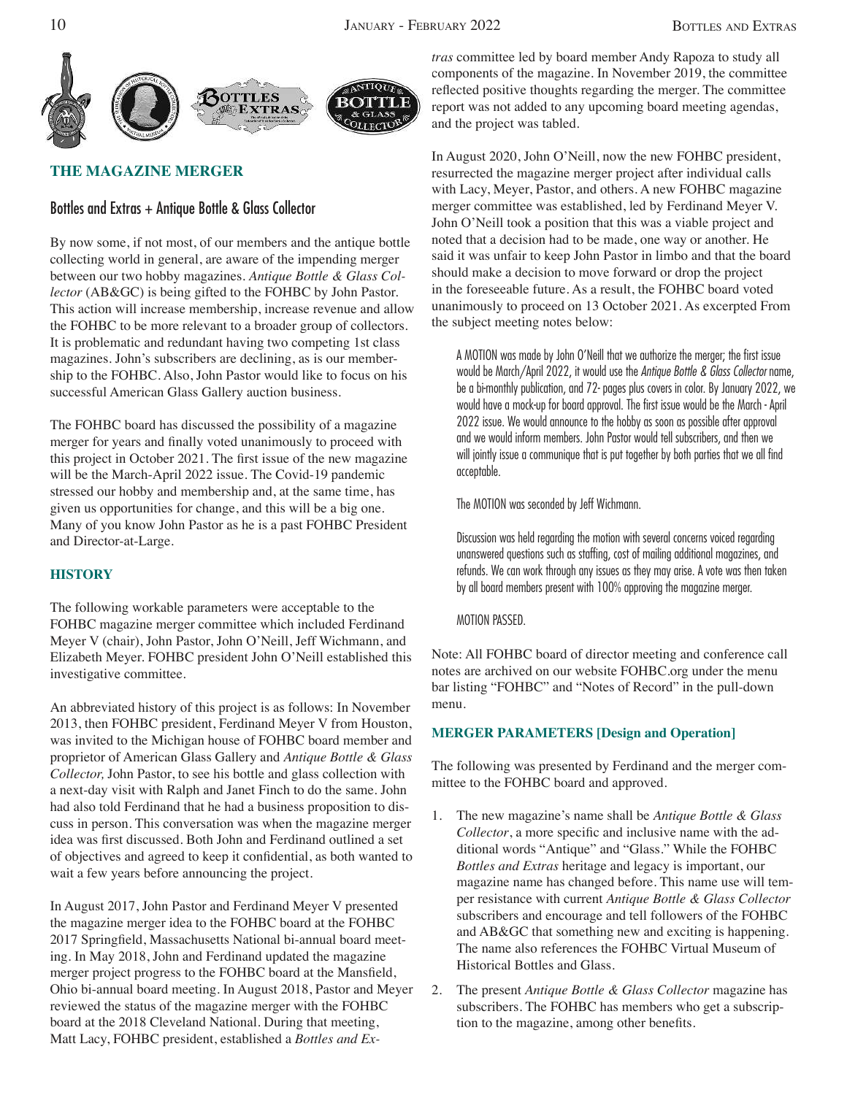

# **THE MAGAZINE MERGER**

## Bottles and Extras + Antique Bottle & Glass Collector

By now some, if not most, of our members and the antique bottle collecting world in general, are aware of the impending merger between our two hobby magazines. *Antique Bottle & Glass Collector* (AB&GC) is being gifted to the FOHBC by John Pastor. This action will increase membership, increase revenue and allow the FOHBC to be more relevant to a broader group of collectors. It is problematic and redundant having two competing 1st class magazines. John's subscribers are declining, as is our membership to the FOHBC. Also, John Pastor would like to focus on his successful American Glass Gallery auction business.

The FOHBC board has discussed the possibility of a magazine merger for years and finally voted unanimously to proceed with this project in October 2021. The first issue of the new magazine will be the March-April 2022 issue. The Covid-19 pandemic stressed our hobby and membership and, at the same time, has given us opportunities for change, and this will be a big one. Many of you know John Pastor as he is a past FOHBC President and Director-at-Large.

#### **HISTORY**

The following workable parameters were acceptable to the FOHBC magazine merger committee which included Ferdinand Meyer V (chair), John Pastor, John O'Neill, Jeff Wichmann, and Elizabeth Meyer. FOHBC president John O'Neill established this investigative committee.

An abbreviated history of this project is as follows: In November 2013, then FOHBC president, Ferdinand Meyer V from Houston, was invited to the Michigan house of FOHBC board member and proprietor of American Glass Gallery and *Antique Bottle & Glass Collector,* John Pastor, to see his bottle and glass collection with a next-day visit with Ralph and Janet Finch to do the same. John had also told Ferdinand that he had a business proposition to discuss in person. This conversation was when the magazine merger idea was first discussed. Both John and Ferdinand outlined a set of objectives and agreed to keep it confidential, as both wanted to wait a few years before announcing the project.

In August 2017, John Pastor and Ferdinand Meyer V presented the magazine merger idea to the FOHBC board at the FOHBC 2017 Springfield, Massachusetts National bi-annual board meeting. In May 2018, John and Ferdinand updated the magazine merger project progress to the FOHBC board at the Mansfield, Ohio bi-annual board meeting. In August 2018, Pastor and Meyer reviewed the status of the magazine merger with the FOHBC board at the 2018 Cleveland National. During that meeting, Matt Lacy, FOHBC president, established a *Bottles and Ex-* *tras* committee led by board member Andy Rapoza to study all components of the magazine. In November 2019, the committee reflected positive thoughts regarding the merger. The committee report was not added to any upcoming board meeting agendas, and the project was tabled.

In August 2020, John O'Neill, now the new FOHBC president, resurrected the magazine merger project after individual calls with Lacy, Meyer, Pastor, and others. A new FOHBC magazine merger committee was established, led by Ferdinand Meyer V. John O'Neill took a position that this was a viable project and noted that a decision had to be made, one way or another. He said it was unfair to keep John Pastor in limbo and that the board should make a decision to move forward or drop the project in the foreseeable future. As a result, the FOHBC board voted unanimously to proceed on 13 October 2021. As excerpted From the subject meeting notes below:

A MOTION was made by John O'Neill that we authorize the merger; the first issue would be March/April 2022, it would use the Antique Bottle & Glass Collector name, be a bi-monthly publication, and 72- pages plus covers in color. By January 2022, we would have a mock-up for board approval. The first issue would be the March - April 2022 issue. We would announce to the hobby as soon as possible after approval and we would inform members. John Pastor would tell subscribers, and then we will jointly issue a communique that is put together by both parties that we all find acceptable.

The MOTION was seconded by Jeff Wichmann.

Discussion was held regarding the motion with several concerns voiced regarding unanswered questions such as staffing, cost of mailing additional magazines, and refunds. We can work through any issues as they may arise. A vote was then taken by all board members present with 100% approving the magazine merger.

MOTION PASSED.

Note: All FOHBC board of director meeting and conference call notes are archived on our website FOHBC.org under the menu bar listing "FOHBC" and "Notes of Record" in the pull-down menu.

#### **MERGER PARAMETERS [Design and Operation]**

The following was presented by Ferdinand and the merger committee to the FOHBC board and approved.

- 1. The new magazine's name shall be *Antique Bottle & Glass Collector*, a more specific and inclusive name with the additional words "Antique" and "Glass." While the FOHBC *Bottles and Extras* heritage and legacy is important, our magazine name has changed before. This name use will temper resistance with current *Antique Bottle & Glass Collector* subscribers and encourage and tell followers of the FOHBC and AB&GC that something new and exciting is happening. The name also references the FOHBC Virtual Museum of Historical Bottles and Glass.
- 2. The present *Antique Bottle & Glass Collector* magazine has subscribers. The FOHBC has members who get a subscription to the magazine, among other benefits.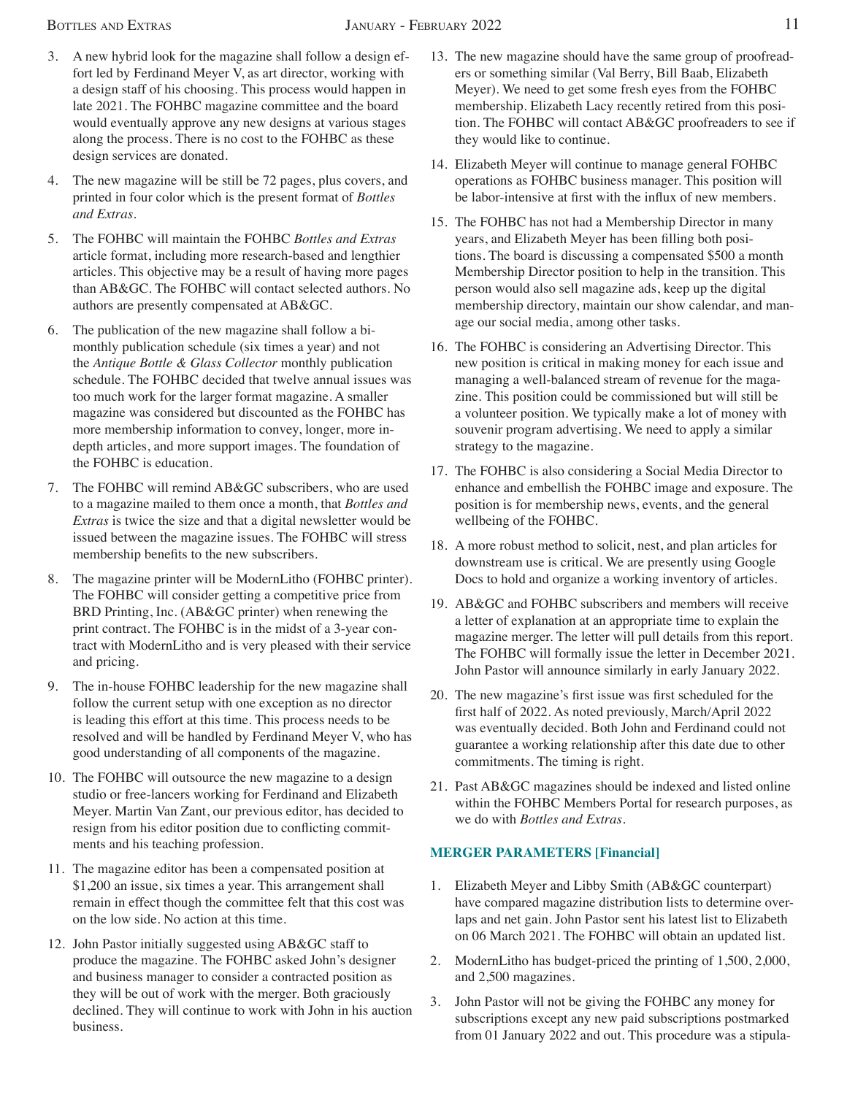- 3. A new hybrid look for the magazine shall follow a design effort led by Ferdinand Meyer V, as art director, working with a design staff of his choosing. This process would happen in late 2021. The FOHBC magazine committee and the board would eventually approve any new designs at various stages along the process. There is no cost to the FOHBC as these design services are donated.
- 4. The new magazine will be still be 72 pages, plus covers, and printed in four color which is the present format of *Bottles and Extras*.
- 5. The FOHBC will maintain the FOHBC *Bottles and Extras* article format, including more research-based and lengthier articles. This objective may be a result of having more pages than AB&GC. The FOHBC will contact selected authors. No authors are presently compensated at AB&GC.
- 6. The publication of the new magazine shall follow a bimonthly publication schedule (six times a year) and not the *Antique Bottle & Glass Collector* monthly publication schedule. The FOHBC decided that twelve annual issues was too much work for the larger format magazine. A smaller magazine was considered but discounted as the FOHBC has more membership information to convey, longer, more indepth articles, and more support images. The foundation of the FOHBC is education.
- 7. The FOHBC will remind AB&GC subscribers, who are used to a magazine mailed to them once a month, that *Bottles and Extras* is twice the size and that a digital newsletter would be issued between the magazine issues. The FOHBC will stress membership benefits to the new subscribers.
- 8. The magazine printer will be ModernLitho (FOHBC printer). The FOHBC will consider getting a competitive price from BRD Printing, Inc. (AB&GC printer) when renewing the print contract. The FOHBC is in the midst of a 3-year contract with ModernLitho and is very pleased with their service and pricing.
- 9. The in-house FOHBC leadership for the new magazine shall follow the current setup with one exception as no director is leading this effort at this time. This process needs to be resolved and will be handled by Ferdinand Meyer V, who has good understanding of all components of the magazine.
- 10. The FOHBC will outsource the new magazine to a design studio or free-lancers working for Ferdinand and Elizabeth Meyer. Martin Van Zant, our previous editor, has decided to resign from his editor position due to conflicting commitments and his teaching profession.
- 11. The magazine editor has been a compensated position at \$1,200 an issue, six times a year. This arrangement shall remain in effect though the committee felt that this cost was on the low side. No action at this time.
- 12. John Pastor initially suggested using AB&GC staff to produce the magazine. The FOHBC asked John's designer and business manager to consider a contracted position as they will be out of work with the merger. Both graciously declined. They will continue to work with John in his auction business.
- 13. The new magazine should have the same group of proofreaders or something similar (Val Berry, Bill Baab, Elizabeth Meyer). We need to get some fresh eyes from the FOHBC membership. Elizabeth Lacy recently retired from this position. The FOHBC will contact AB&GC proofreaders to see if they would like to continue.
- 14. Elizabeth Meyer will continue to manage general FOHBC operations as FOHBC business manager. This position will be labor-intensive at first with the influx of new members.
- 15. The FOHBC has not had a Membership Director in many years, and Elizabeth Meyer has been filling both positions. The board is discussing a compensated \$500 a month Membership Director position to help in the transition. This person would also sell magazine ads, keep up the digital membership directory, maintain our show calendar, and manage our social media, among other tasks.
- 16. The FOHBC is considering an Advertising Director. This new position is critical in making money for each issue and managing a well-balanced stream of revenue for the magazine. This position could be commissioned but will still be a volunteer position. We typically make a lot of money with souvenir program advertising. We need to apply a similar strategy to the magazine.
- 17. The FOHBC is also considering a Social Media Director to enhance and embellish the FOHBC image and exposure. The position is for membership news, events, and the general wellbeing of the FOHBC.
- 18. A more robust method to solicit, nest, and plan articles for downstream use is critical. We are presently using Google Docs to hold and organize a working inventory of articles.
- 19. AB&GC and FOHBC subscribers and members will receive a letter of explanation at an appropriate time to explain the magazine merger. The letter will pull details from this report. The FOHBC will formally issue the letter in December 2021. John Pastor will announce similarly in early January 2022.
- 20. The new magazine's first issue was first scheduled for the first half of 2022. As noted previously, March/April 2022 was eventually decided. Both John and Ferdinand could not guarantee a working relationship after this date due to other commitments. The timing is right.
- 21. Past AB&GC magazines should be indexed and listed online within the FOHBC Members Portal for research purposes, as we do with *Bottles and Extras*.

## **MERGER PARAMETERS [Financial]**

- 1. Elizabeth Meyer and Libby Smith (AB&GC counterpart) have compared magazine distribution lists to determine overlaps and net gain. John Pastor sent his latest list to Elizabeth on 06 March 2021. The FOHBC will obtain an updated list.
- 2. ModernLitho has budget-priced the printing of 1,500, 2,000, and 2,500 magazines.
- 3. John Pastor will not be giving the FOHBC any money for subscriptions except any new paid subscriptions postmarked from 01 January 2022 and out. This procedure was a stipula-